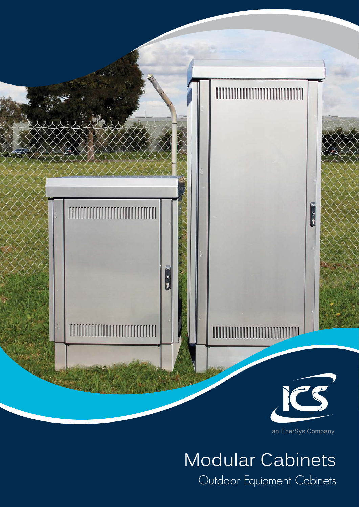

an EnerSys Company

# Modular Cabinets Outdoor Equipment Cabinets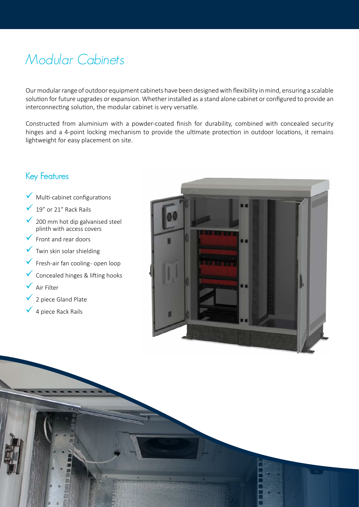## Modular Cabinets

Our modular range of outdoor equipment cabinets have been designed with flexibility in mind, ensuring a scalable solution for future upgrades or expansion. Whether installed as a stand alone cabinet or configured to provide an interconnecting solution, the modular cabinet is very versatile.

Constructed from aluminium with a powder-coated finish for durability, combined with concealed security hinges and a 4-point locking mechanism to provide the ultimate protection in outdoor locations, it remains lightweight for easy placement on site.

### Key Features

- $\sqrt{\phantom{a}}$  Multi-cabinet configurations
- 19" or 21" Rack Rails
- 9 200 mm hot dip galvanised steel plinth with access covers
- 9 Front and rear doors
- Twin skin solar shielding
- $\checkmark$  Fresh-air fan cooling- open loop
- $\checkmark$  Concealed hinges & lifting hooks
- 9 Air Filter
- 9 2 piece Gland Plate
- 9 4 piece Rack Rails

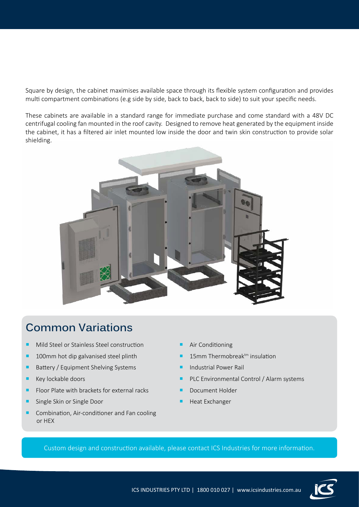Square by design, the cabinet maximises available space through its flexible system configuration and provides multi compartment combinations (e.g side by side, back to back, back to side) to suit your specific needs.

These cabinets are available in a standard range for immediate purchase and come standard with a 48V DC centrifugal cooling fan mounted in the roof cavity. Designed to remove heat generated by the equipment inside the cabinet, it has a filtered air inlet mounted low inside the door and twin skin construction to provide solar shielding.



### **Common Variations**

- **Mild Steel or Stainless Steel construction**
- **100mm hot dip galvanised steel plinth**
- **Battery / Equipment Shelving Systems**
- $\blacksquare$  Key lockable doors
- Floor Plate with brackets for external racks
- **Single Skin or Single Door**
- Combination, Air-conditioner and Fan cooling or HEX
- Air Conditioning
- 15mm Thermobreak<sup>tm</sup> insulation
- Industrial Power Rail
- **PLC Environmental Control / Alarm systems**
- Document Holder
- Heat Exchanger

Custom design and construction available, please contact ICS Industries for more information.